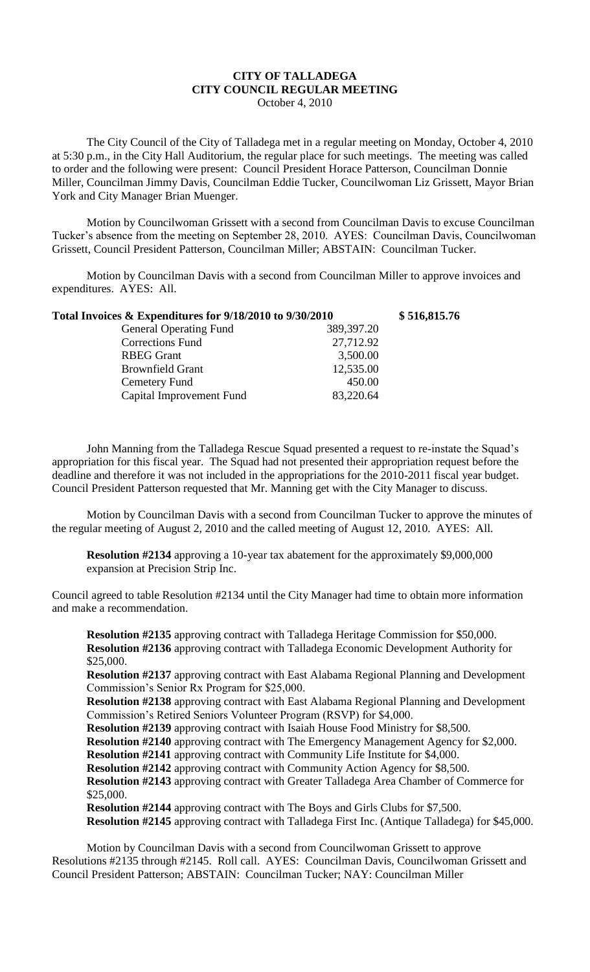## **CITY OF TALLADEGA CITY COUNCIL REGULAR MEETING** October 4, 2010

The City Council of the City of Talladega met in a regular meeting on Monday, October 4, 2010 at 5:30 p.m., in the City Hall Auditorium, the regular place for such meetings. The meeting was called to order and the following were present: Council President Horace Patterson, Councilman Donnie Miller, Councilman Jimmy Davis, Councilman Eddie Tucker, Councilwoman Liz Grissett, Mayor Brian York and City Manager Brian Muenger.

Motion by Councilwoman Grissett with a second from Councilman Davis to excuse Councilman Tucker's absence from the meeting on September 28, 2010. AYES: Councilman Davis, Councilwoman Grissett, Council President Patterson, Councilman Miller; ABSTAIN: Councilman Tucker.

Motion by Councilman Davis with a second from Councilman Miller to approve invoices and expenditures. AYES: All.

| Total Invoices & Expenditures for 9/18/2010 to 9/30/2010 |            | \$516,815.76 |
|----------------------------------------------------------|------------|--------------|
| <b>General Operating Fund</b>                            | 389,397.20 |              |
| Corrections Fund                                         | 27,712.92  |              |
| <b>RBEG</b> Grant                                        | 3,500.00   |              |
| <b>Brownfield Grant</b>                                  | 12,535.00  |              |
| Cemetery Fund                                            | 450.00     |              |
| Capital Improvement Fund                                 | 83,220.64  |              |
|                                                          |            |              |

John Manning from the Talladega Rescue Squad presented a request to re-instate the Squad's appropriation for this fiscal year. The Squad had not presented their appropriation request before the deadline and therefore it was not included in the appropriations for the 2010-2011 fiscal year budget. Council President Patterson requested that Mr. Manning get with the City Manager to discuss.

Motion by Councilman Davis with a second from Councilman Tucker to approve the minutes of the regular meeting of August 2, 2010 and the called meeting of August 12, 2010. AYES: All.

**Resolution #2134** approving a 10-year tax abatement for the approximately \$9,000,000 expansion at Precision Strip Inc.

Council agreed to table Resolution #2134 until the City Manager had time to obtain more information and make a recommendation.

**Resolution #2135** approving contract with Talladega Heritage Commission for \$50,000. **Resolution #2136** approving contract with Talladega Economic Development Authority for \$25,000.

**Resolution #2137** approving contract with East Alabama Regional Planning and Development Commission's Senior Rx Program for \$25,000.

**Resolution #2138** approving contract with East Alabama Regional Planning and Development Commission's Retired Seniors Volunteer Program (RSVP) for \$4,000.

**Resolution #2139** approving contract with Isaiah House Food Ministry for \$8,500.

**Resolution #2140** approving contract with The Emergency Management Agency for \$2,000.

**Resolution #2141** approving contract with Community Life Institute for \$4,000.

**Resolution #2142** approving contract with Community Action Agency for \$8,500.

**Resolution #2143** approving contract with Greater Talladega Area Chamber of Commerce for \$25,000.

**Resolution #2144** approving contract with The Boys and Girls Clubs for \$7,500. **Resolution #2145** approving contract with Talladega First Inc. (Antique Talladega) for \$45,000.

Motion by Councilman Davis with a second from Councilwoman Grissett to approve Resolutions #2135 through #2145. Roll call. AYES: Councilman Davis, Councilwoman Grissett and Council President Patterson; ABSTAIN: Councilman Tucker; NAY: Councilman Miller